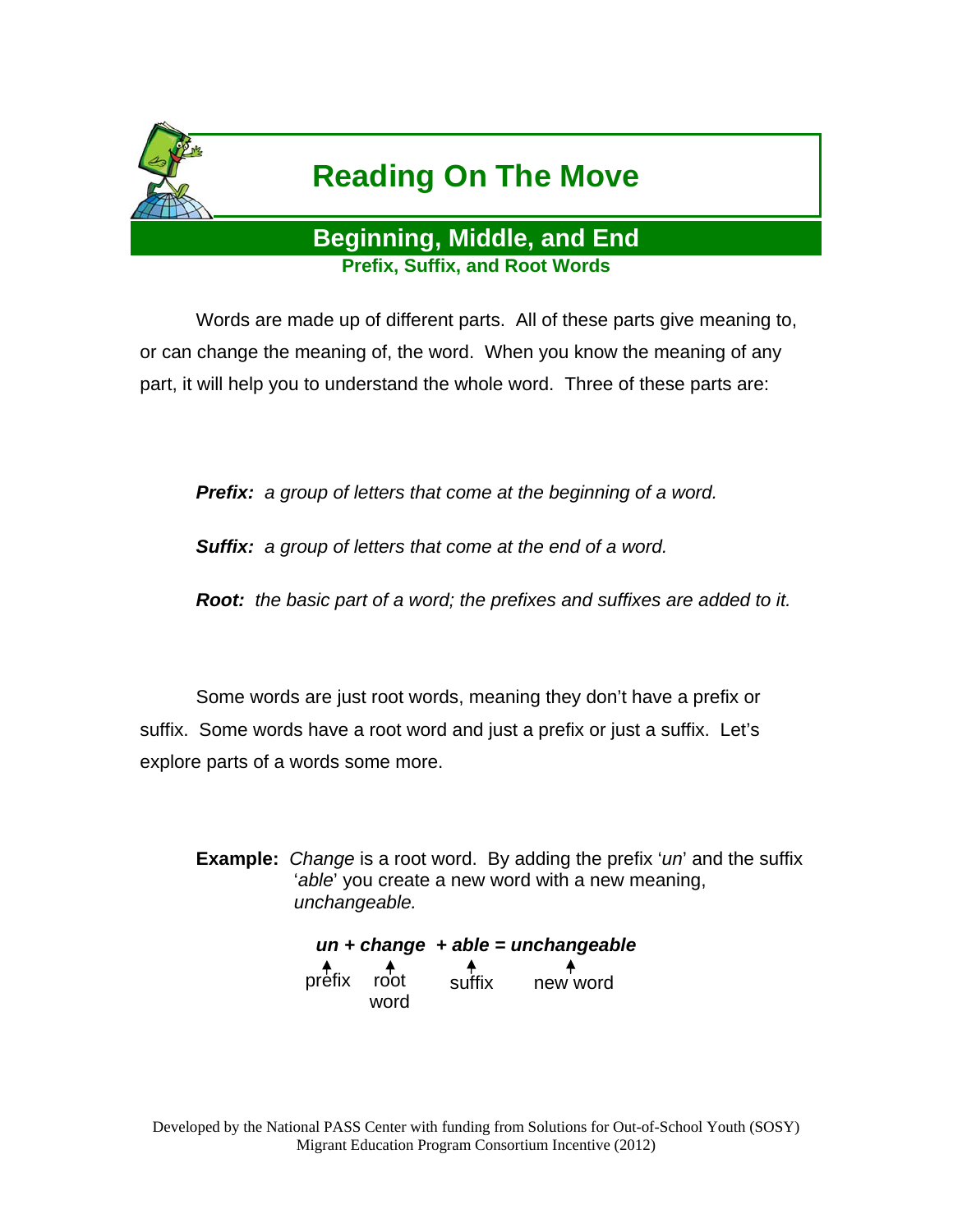

## **Reading On The Move**

## **Beginning, Middle, and End Prefix, Suffix, and Root Words**

 Words are made up of different parts. All of these parts give meaning to, or can change the meaning of, the word. When you know the meaning of any part, it will help you to understand the whole word. Three of these parts are:

*Prefix: a group of letters that come at the beginning of a word.* 

*Suffix: a group of letters that come at the end of a word.* 

*Root: the basic part of a word; the prefixes and suffixes are added to it.* 

 Some words are just root words, meaning they don't have a prefix or suffix. Some words have a root word and just a prefix or just a suffix. Let's explore parts of a words some more.

**Example:** *Change* is a root word. By adding the prefix '*un*' and the suffix '*able*' you create a new word with a new meaning, *unchangeable.* 

> *un + change + able = unchangeable*  prefix root suffix new word word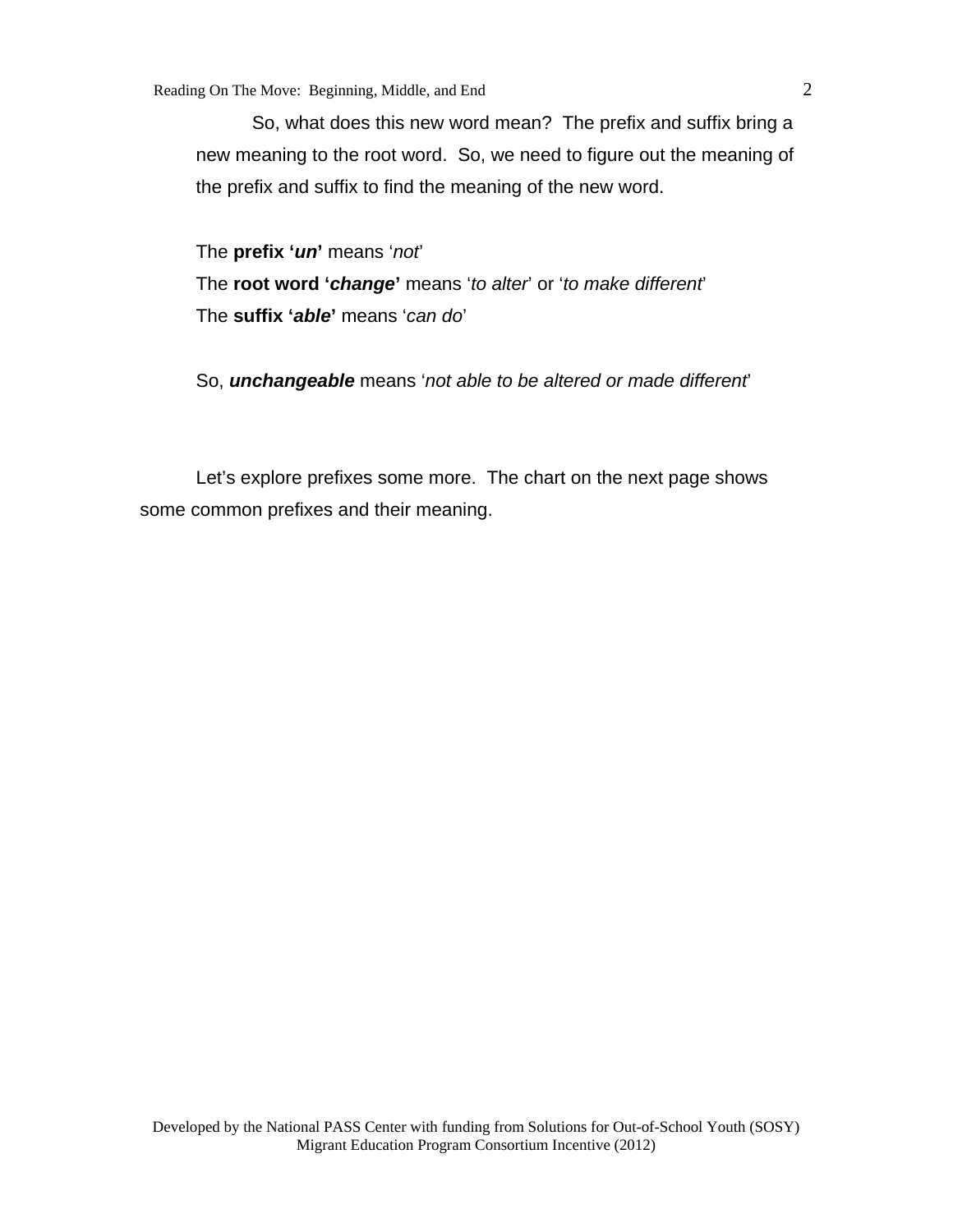So, what does this new word mean? The prefix and suffix bring a new meaning to the root word. So, we need to figure out the meaning of the prefix and suffix to find the meaning of the new word.

The **prefix '***un***'** means '*not*' The **root word '***change***'** means '*to alter*' or '*to make different*' The **suffix '***able***'** means '*can do*'

So, *unchangeable* means '*not able to be altered or made different*'

 Let's explore prefixes some more. The chart on the next page shows some common prefixes and their meaning.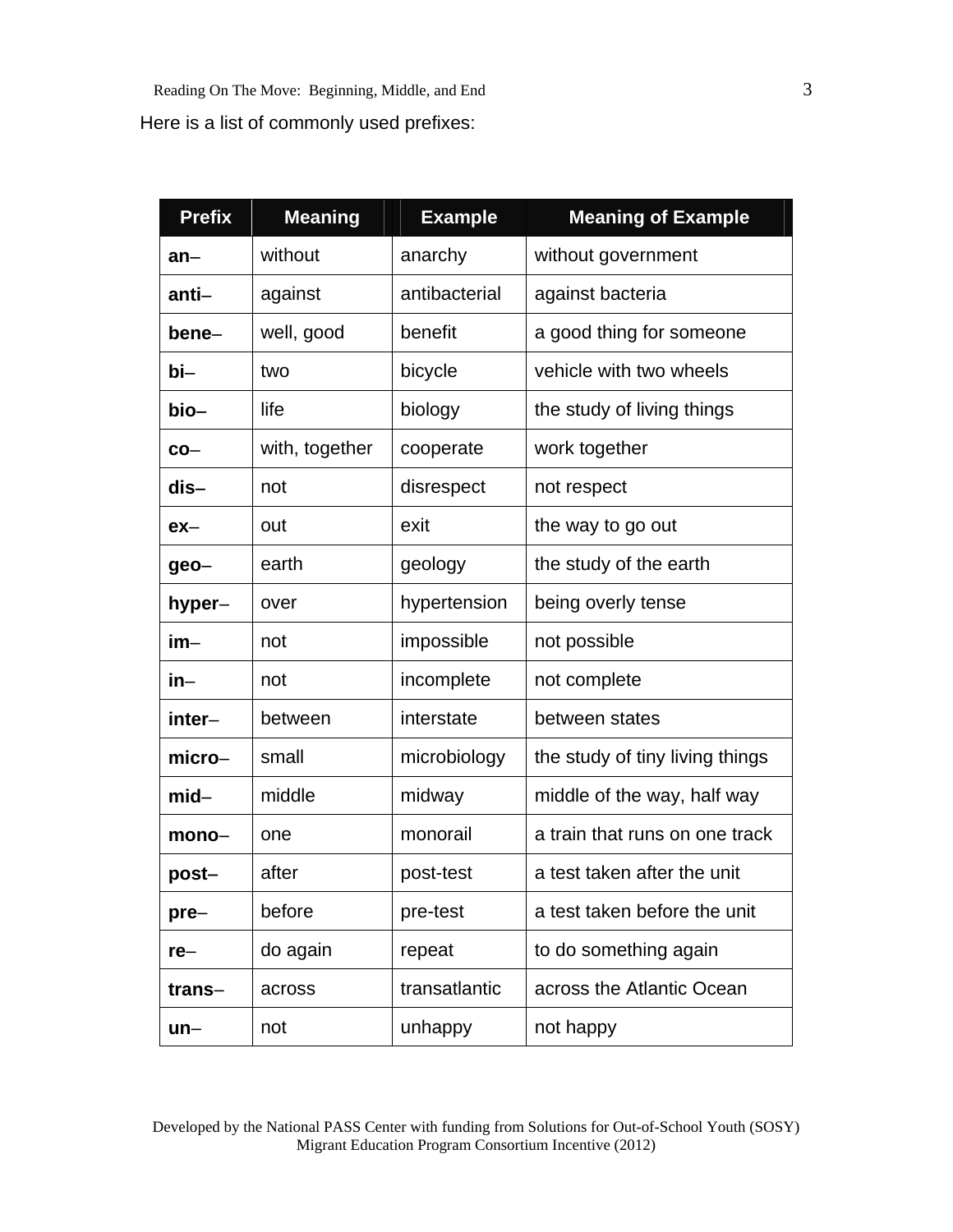| <b>Prefix</b> | <b>Meaning</b> | <b>Example</b> | <b>Meaning of Example</b>       |  |
|---------------|----------------|----------------|---------------------------------|--|
| $an-$         | without        | anarchy        | without government              |  |
| anti-         | against        | antibacterial  | against bacteria                |  |
| bene-         | well, good     | benefit        | a good thing for someone        |  |
| bi-           | two            | bicycle        | vehicle with two wheels         |  |
| bio-          | life           | biology        | the study of living things      |  |
| $co-$         | with, together | cooperate      | work together                   |  |
| dis-          | not            | disrespect     | not respect                     |  |
| $ex-$         | out            | exit           | the way to go out               |  |
| geo-          | earth          | geology        | the study of the earth          |  |
| hyper-        | over           | hypertension   | being overly tense              |  |
| $im-$         | not            | impossible     | not possible                    |  |
| in-           | not            | incomplete     | not complete                    |  |
| inter-        | between        | interstate     | between states                  |  |
| micro-        | small          | microbiology   | the study of tiny living things |  |
| $mid-$        | middle         | midway         | middle of the way, half way     |  |
| $mono-$       | one            | monorail       | a train that runs on one track  |  |
| post-         | after          | post-test      | a test taken after the unit     |  |
| $pre-$        | before         | pre-test       | a test taken before the unit    |  |
| $re-$         | do again       | repeat         | to do something again           |  |
| trans-        | across         | transatlantic  | across the Atlantic Ocean       |  |
| un–           | not            | unhappy        | not happy                       |  |

Developed by the National PASS Center with funding from Solutions for Out-of-School Youth (SOSY) Migrant Education Program Consortium Incentive (2012)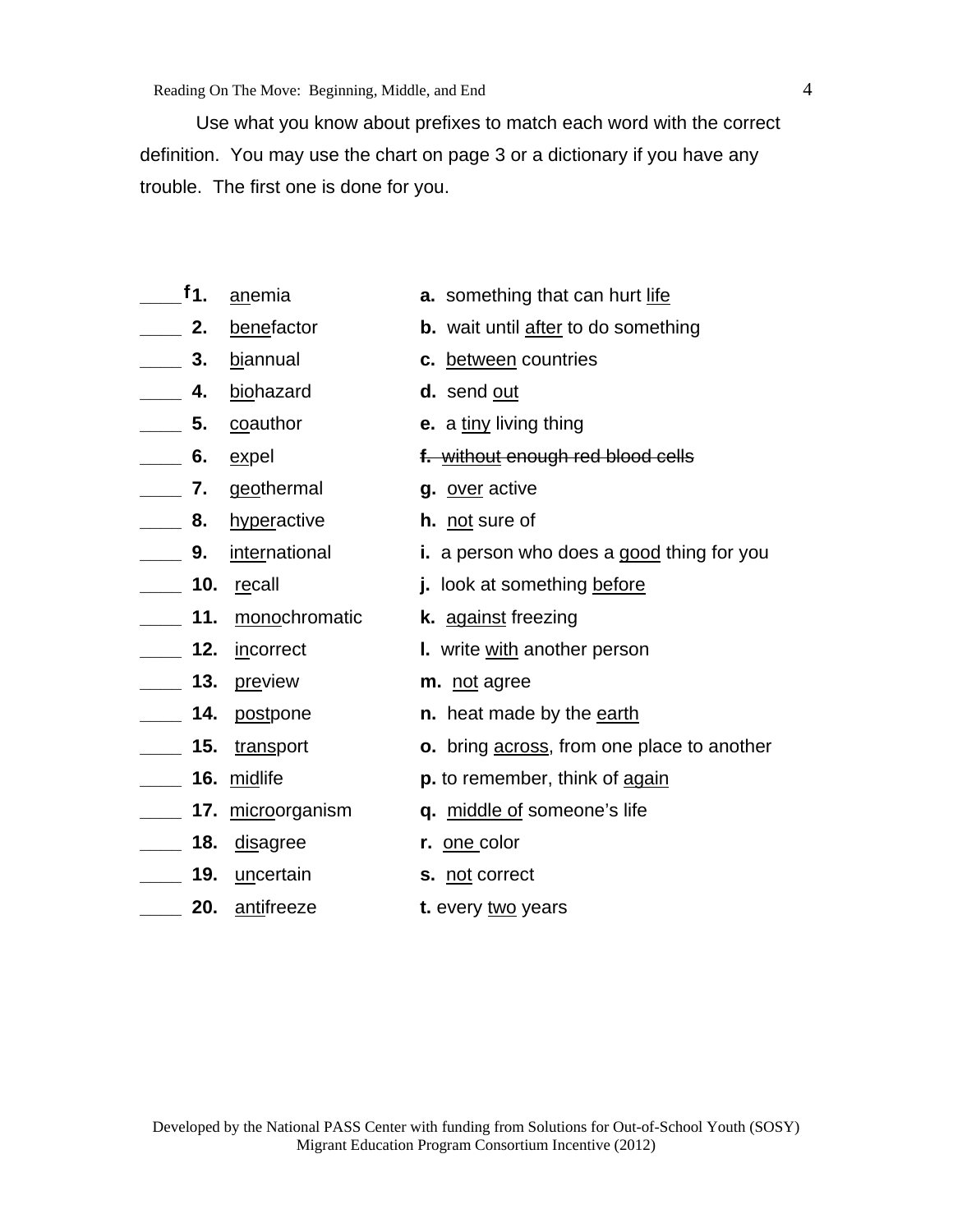Use what you know about prefixes to match each word with the correct definition. You may use the chart on page 3 or a dictionary if you have any trouble. The first one is done for you.

- $f_1$ 
	-
- 
- **\_\_\_\_ 4.** biohazard **d.** send out
- -
- **\_\_\_\_ 7.** geothermal **g.** over active
- **\_\_\_\_ 8.** hyperactive **h.** not sure of
- -
- **\_\_\_\_ 11.** monochromatic **k.** against freezing
- 
- **\_\_\_\_ 13.** preview **m.** not agree
- 
- 
- 
- 
- **\_\_\_\_ 18.** disagree **r.** one color
- **\_\_\_\_ 19.** uncertain **s.** not correct
- **20.** antifreeze **t.** every two years
- **anemia a.** something that can hurt life
- **2. benefactor b.** wait until after to do something
- **\_\_\_\_ 3.** biannual **c.** between countries
	-
- **\_\_\_\_ 5.** coauthor **e.** a tiny living thing
- **\_\_\_\_ 6.** expel **f.** without enough red blood cells
	-
	-
- **\_\_\_\_ 9.** international **i.** a person who does a good thing for you
- **\_\_\_\_ 10.** recall **j.** look at something before
	-
- **\_\_\_\_ 12.** incorrect **l.** write with another person
	-
- **14. postpone n.** heat made by the earth
- **\_\_\_\_ 15.** transport **o.** bring across, from one place to another
- **\_\_\_\_ 16.** midlife **p.** to remember, think of again
- **17.** microorganism **q.** middle of someone's life
	-
	-
	-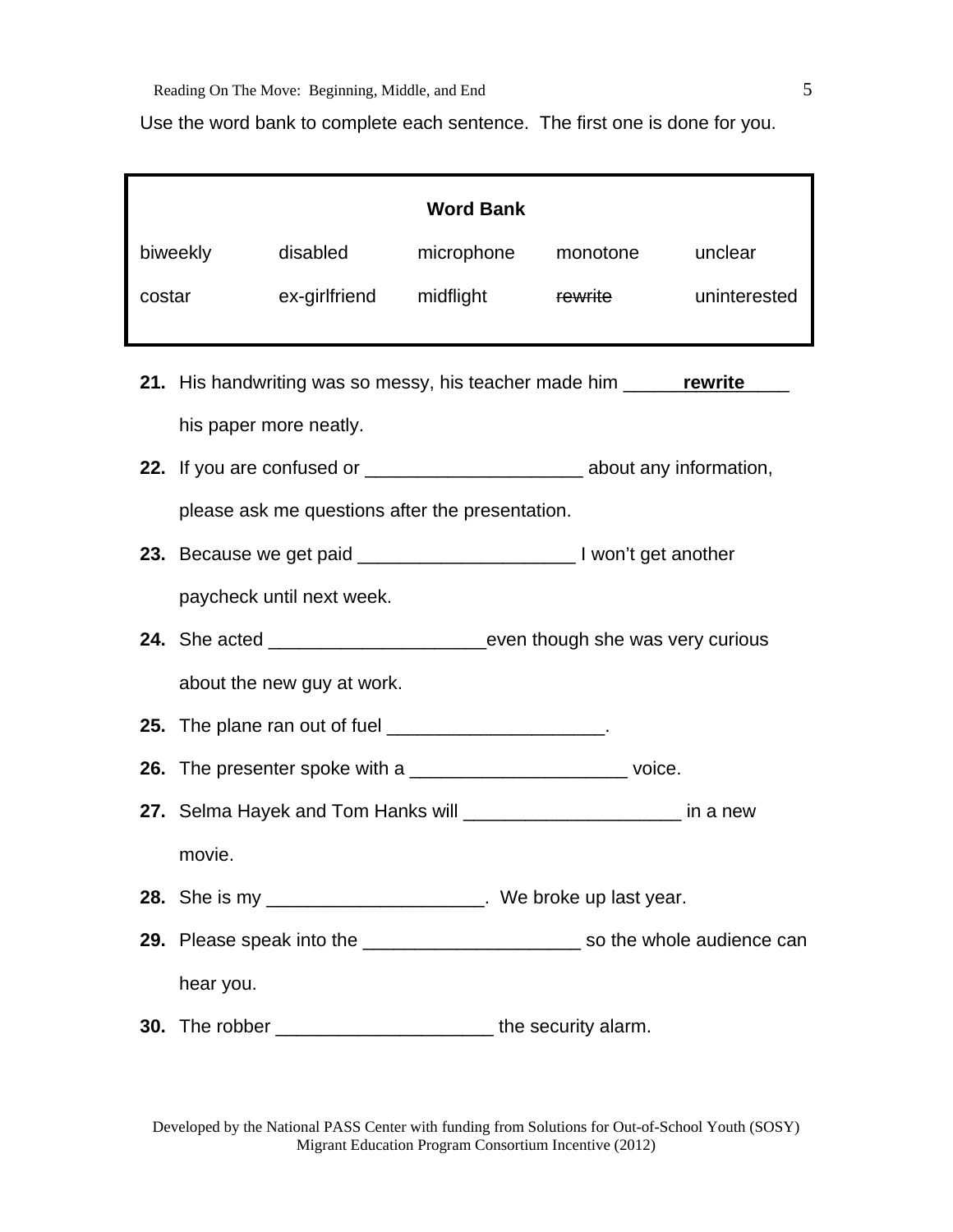Use the word bank to complete each sentence. The first one is done for you.

| <b>Word Bank</b> |                                                                                   |                         |                                    |              |
|------------------|-----------------------------------------------------------------------------------|-------------------------|------------------------------------|--------------|
| biweekly         | disabled                                                                          |                         | microphone monotone                | unclear      |
| costar           |                                                                                   | ex-girlfriend midflight | <b>Example 18 TO FEM THE STATE</b> | uninterested |
|                  |                                                                                   |                         |                                    |              |
|                  | 21. His handwriting was so messy, his teacher made him ______ rewrite             |                         |                                    |              |
|                  | his paper more neatly.                                                            |                         |                                    |              |
|                  |                                                                                   |                         |                                    |              |
|                  | please ask me questions after the presentation.                                   |                         |                                    |              |
|                  |                                                                                   |                         |                                    |              |
|                  | paycheck until next week.                                                         |                         |                                    |              |
|                  |                                                                                   |                         |                                    |              |
|                  | about the new guy at work.                                                        |                         |                                    |              |
|                  | <b>25.</b> The plane ran out of fuel _______________________.                     |                         |                                    |              |
|                  | <b>26.</b> The presenter spoke with a _______________________________voice.       |                         |                                    |              |
|                  | 27. Selma Hayek and Tom Hanks will _________________________ in a new             |                         |                                    |              |
| movie.           |                                                                                   |                         |                                    |              |
|                  | <b>28.</b> She is my ________________________. We broke up last year.             |                         |                                    |              |
|                  | 29. Please speak into the _____________________________ so the whole audience can |                         |                                    |              |
|                  | hear you.                                                                         |                         |                                    |              |
|                  | 30. The robber ________________________________ the security alarm.               |                         |                                    |              |

Developed by the National PASS Center with funding from Solutions for Out-of-School Youth (SOSY) Migrant Education Program Consortium Incentive (2012)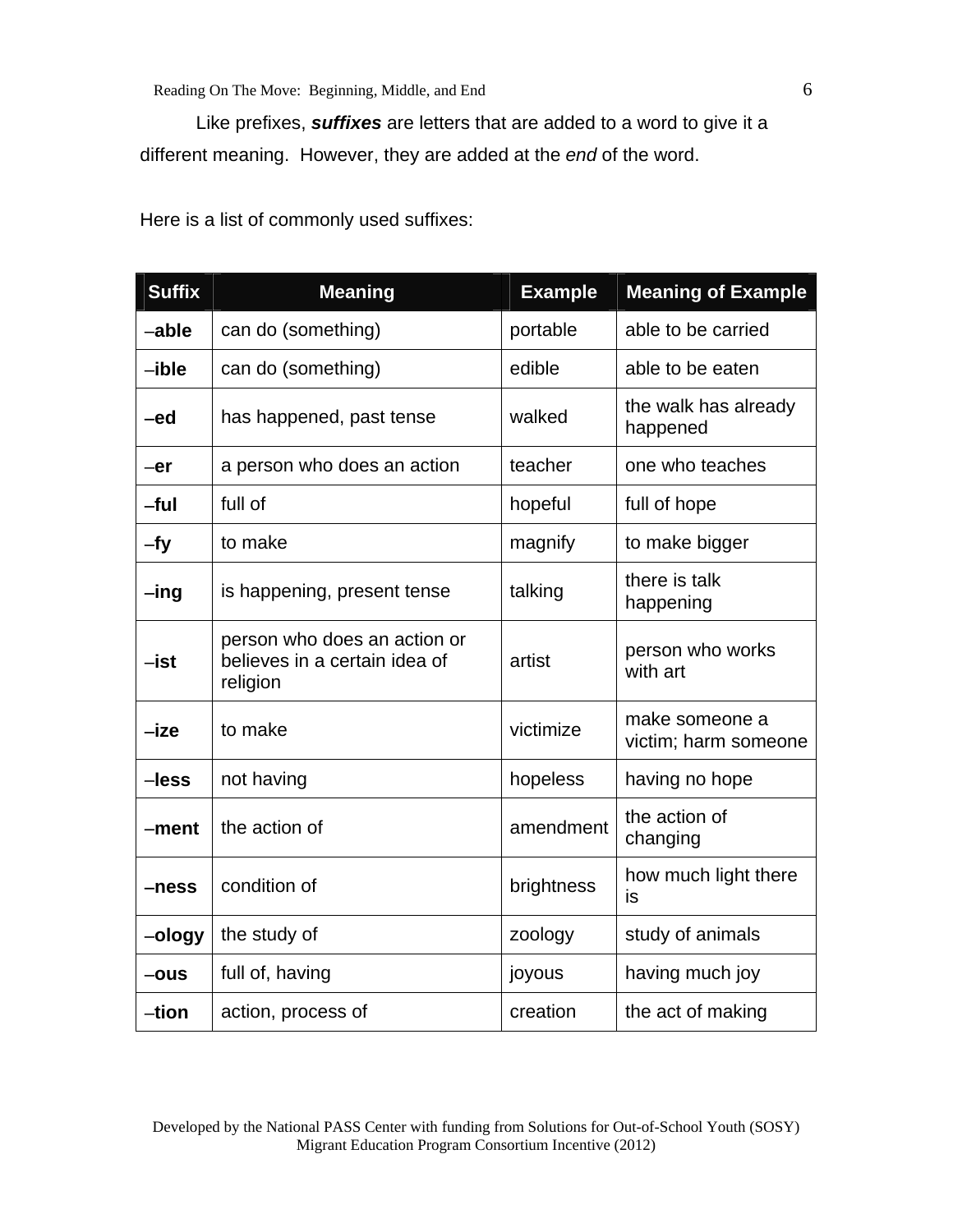Like prefixes, *suffixes* are letters that are added to a word to give it a different meaning. However, they are added at the *end* of the word.

| <b>Suffix</b>   | <b>Meaning</b>                                                            | <b>Example</b> | <b>Meaning of Example</b>              |
|-----------------|---------------------------------------------------------------------------|----------------|----------------------------------------|
| -able           | can do (something)                                                        | portable       | able to be carried                     |
| $-ible$         | can do (something)                                                        | edible         | able to be eaten                       |
| -ed             | has happened, past tense                                                  | walked         | the walk has already<br>happened       |
| $-er$           | a person who does an action                                               | teacher        | one who teaches                        |
| $-ful$          | full of                                                                   | hopeful        | full of hope                           |
| $-fy$           | to make                                                                   | magnify        | to make bigger                         |
| $-\mathsf{ing}$ | is happening, present tense                                               | talking        | there is talk<br>happening             |
| $-$ ist         | person who does an action or<br>believes in a certain idea of<br>religion | artist         | person who works<br>with art           |
| $-ize$          | to make                                                                   | victimize      | make someone a<br>victim; harm someone |
| $-less$         | not having                                                                | hopeless       | having no hope                         |
| $-ment$         | the action of                                                             | amendment      | the action of<br>changing              |
| $-ness$         | condition of                                                              | brightness     | how much light there<br>is             |
| -ology          | the study of                                                              | zoology        | study of animals                       |
| $-ous$          | full of, having                                                           | joyous         | having much joy                        |
| -tion           | action, process of                                                        | creation       | the act of making                      |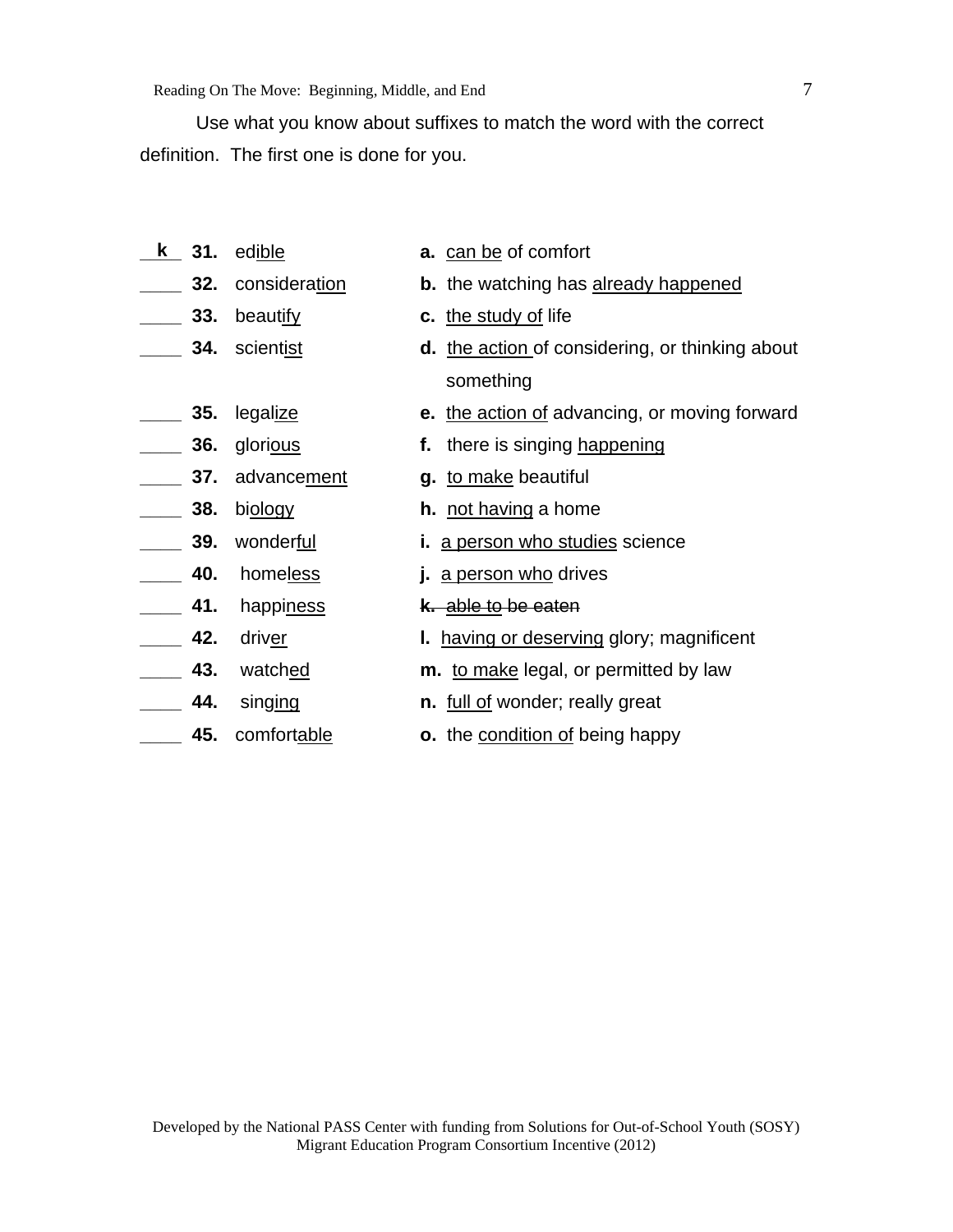Use what you know about suffixes to match the word with the correct definition. The first one is done for you.

- **a.** can be of comfort **32.** consideration **b.** the watching has already happened **23.** beautify **c.** the study of life **1. 1. 2015 34.** scientist **d.** the action of considering, or thinking about something **35.** legalize **e.** the action of advancing, or moving forward **36.** glorious **f.** there is singing happening **12. 12. In** advancement **g.** to make beautiful **\_\_\_\_ 38.** biology **h.** not having a home **\_\_\_\_ 39.** wonderful **i.** a person who studies science **40.** homeless **j.** a person who drives **\_\_\_\_ 41.** happiness **k.** able to be eaten **42.** driver **l.** having or deserving glory; magnificent **\_\_\_\_ 43.** watched **m.** to make legal, or permitted by law **\_\_\_\_ 44.** singing **n.** full of wonder; really great **k** 31. edible
- **45.** comfortable **o.** the condition of being happy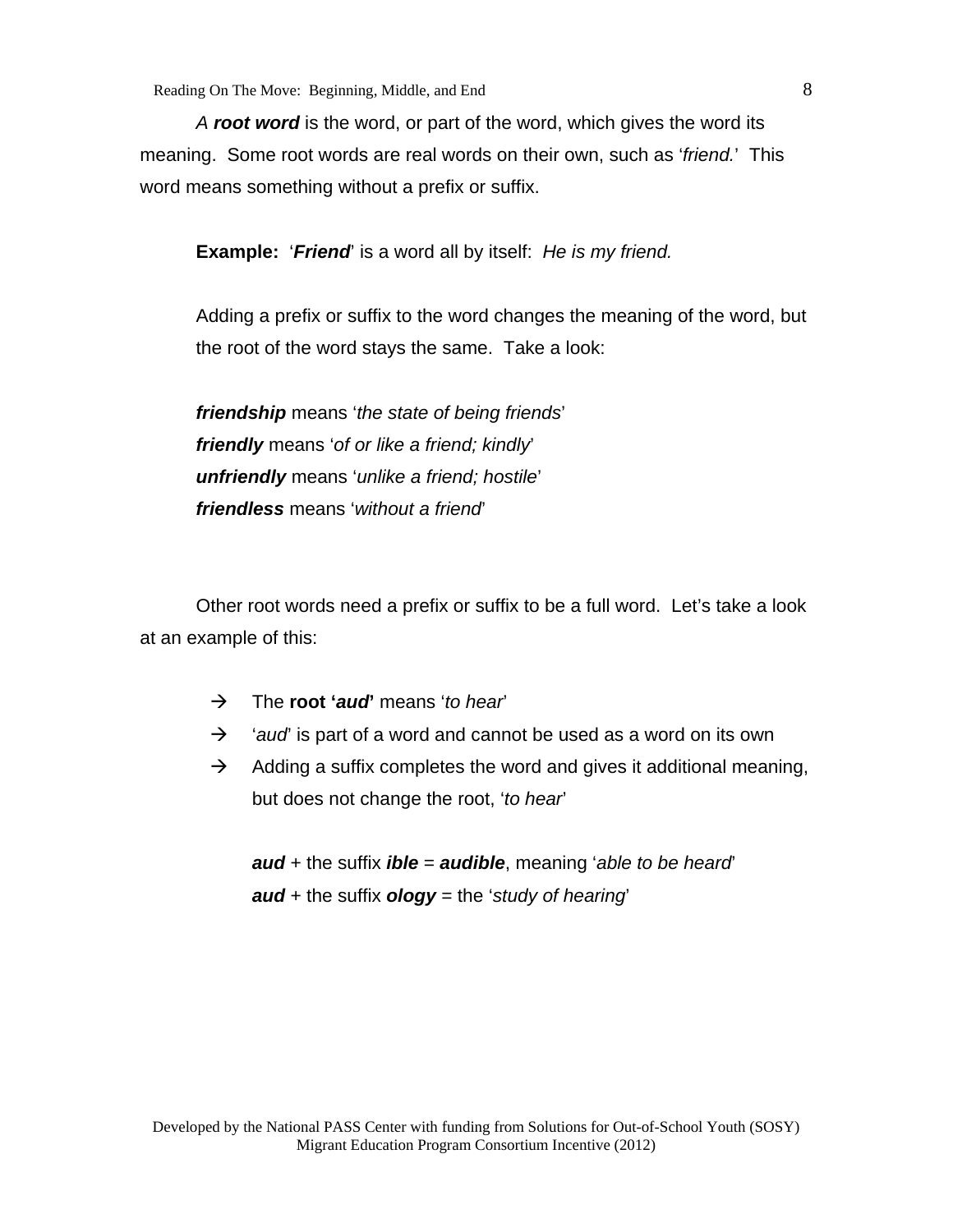Reading On The Move: Beginning, Middle, and End 8

*A root word* is the word, or part of the word, which gives the word its meaning. Some root words are real words on their own, such as '*friend.*' This word means something without a prefix or suffix.

**Example:** '*Friend*' is a word all by itself: *He is my friend.*

Adding a prefix or suffix to the word changes the meaning of the word, but the root of the word stays the same. Take a look:

*friendship* means '*the state of being friends*' *friendly* means '*of or like a friend; kindly*' *unfriendly* means '*unlike a friend; hostile*' *friendless* means '*without a friend*'

 Other root words need a prefix or suffix to be a full word. Let's take a look at an example of this:

- The **root '***aud***'** means '*to hear*'
- <sup>2</sup> *'aud'* is part of a word and cannot be used as a word on its own
- $\rightarrow$  Adding a suffix completes the word and gives it additional meaning, but does not change the root, '*to hear*'

*aud* + the suffix *ible* = *audible*, meaning '*able to be heard*' *aud* + the suffix *ology* = the '*study of hearing*'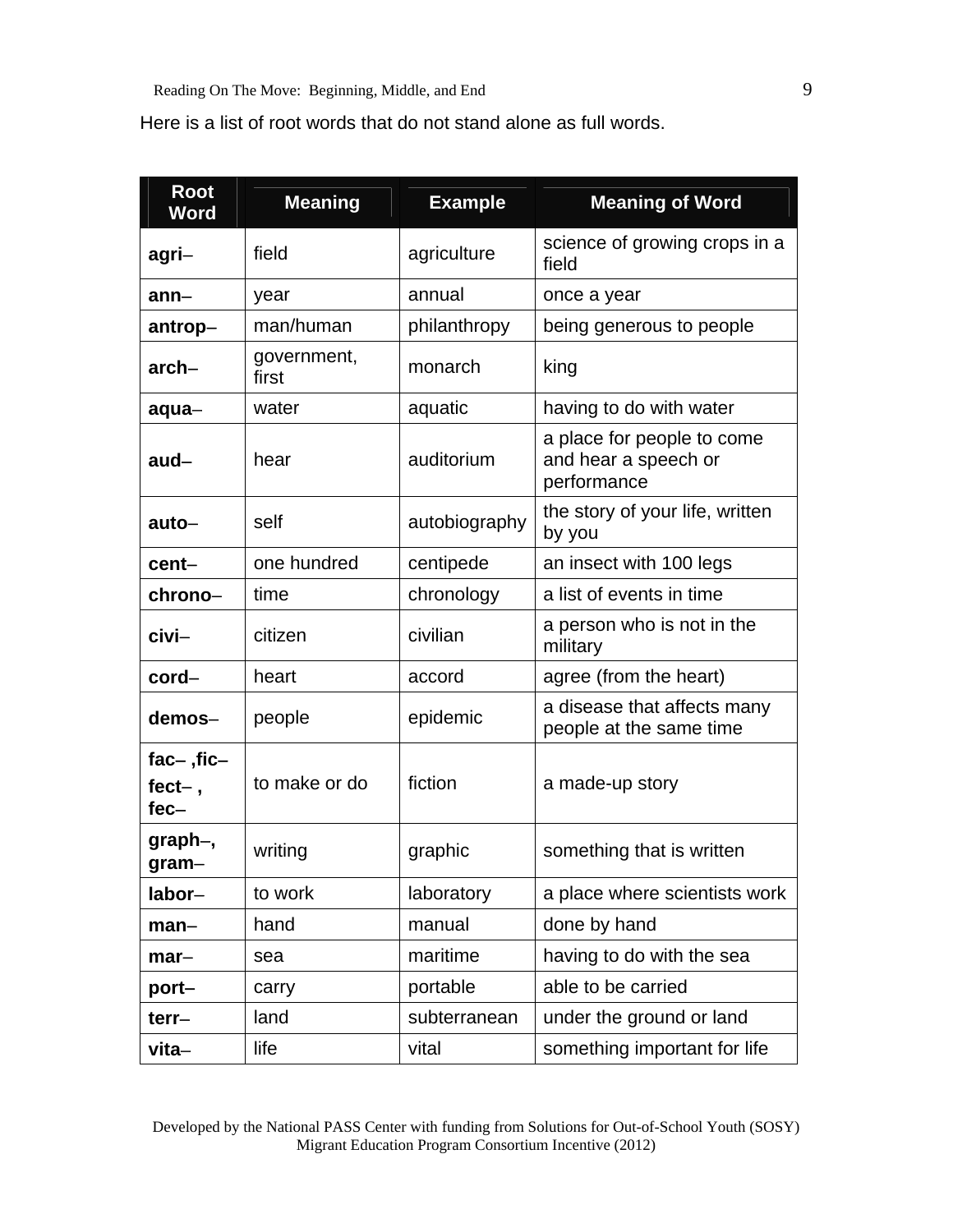Here is a list of root words that do not stand alone as full words.

| <b>Root</b><br><b>Word</b>           | <b>Meaning</b>       | <b>Example</b> | <b>Meaning of Word</b>                                            |  |
|--------------------------------------|----------------------|----------------|-------------------------------------------------------------------|--|
| agri–                                | field                | agriculture    | science of growing crops in a<br>field                            |  |
| $ann-$                               | year                 | annual         | once a year                                                       |  |
| antrop-                              | man/human            | philanthropy   | being generous to people                                          |  |
| $arch-$                              | government,<br>first | monarch        | king                                                              |  |
| aqua-                                | water                | aquatic        | having to do with water                                           |  |
| $aud -$                              | hear                 | auditorium     | a place for people to come<br>and hear a speech or<br>performance |  |
| auto–                                | self                 | autobiography  | the story of your life, written<br>by you                         |  |
| cent-                                | one hundred          | centipede      | an insect with 100 legs                                           |  |
| chrono-                              | time                 | chronology     | a list of events in time                                          |  |
| civi–                                | citizen              | civilian       | a person who is not in the<br>military                            |  |
| cord-                                | heart                | accord         | agree (from the heart)                                            |  |
| demos-                               | people               | epidemic       | a disease that affects many<br>people at the same time            |  |
| $fac$ -, fic-<br>$fect-$ ,<br>$fec-$ | to make or do        | fiction        | a made-up story                                                   |  |
| graph–,<br>$gram-$                   | writing              | graphic        | something that is written                                         |  |
| labor-                               | to work              | laboratory     | a place where scientists work                                     |  |
| man–                                 | hand                 | manual         | done by hand                                                      |  |
| $mar-$                               | sea                  | maritime       | having to do with the sea                                         |  |
| port-                                | carry                | portable       | able to be carried                                                |  |
| $terr-$                              | land                 | subterranean   | under the ground or land                                          |  |
| vita-                                | life                 | vital          | something important for life                                      |  |

Developed by the National PASS Center with funding from Solutions for Out-of-School Youth (SOSY) Migrant Education Program Consortium Incentive (2012)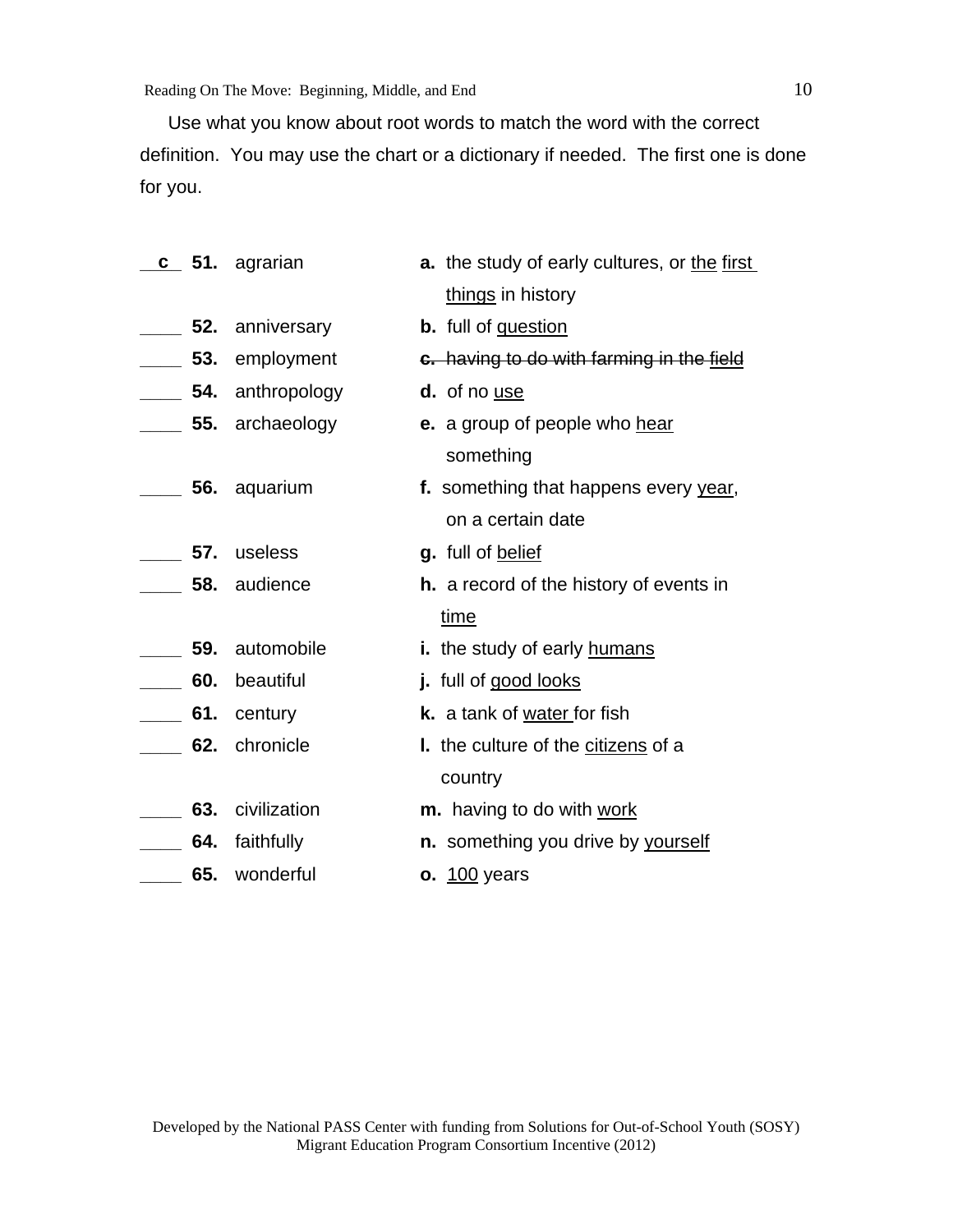Reading On The Move: Beginning, Middle, and End 10

Use what you know about root words to match the word with the correct definition. You may use the chart or a dictionary if needed. The first one is done for you.

|              | c 51. agrarian             | <b>a.</b> the study of early cultures, or the first |
|--------------|----------------------------|-----------------------------------------------------|
|              |                            | things in history                                   |
|              | 52. anniversary            | <b>b.</b> full of question                          |
|              | <b>120.</b> 53. employment | c. having to do with farming in the field           |
|              | _____ 54. anthropology     | d. of no use                                        |
|              | 55. archaeology            | e. a group of people who hear                       |
|              |                            | something                                           |
|              | ___ 56. aquarium           | f. something that happens every year,               |
|              |                            | on a certain date                                   |
|              | 57. useless                | g. full of belief                                   |
|              | 58. audience               | <b>h.</b> a record of the history of events in      |
|              |                            | time                                                |
| $\equiv$ 59. | automobile                 | i. the study of early humans                        |
| 60.          | beautiful                  | j. full of good looks                               |
| $\sim$ 61.   | century                    | k. a tank of water for fish                         |
| 62.          | chronicle                  | I. the culture of the citizens of a                 |
|              |                            | country                                             |
|              | 63. civilization           | m. having to do with work                           |
|              | 64. faithfully             | n. something you drive by yourself                  |
|              | 65. wonderful              | <b>o.</b> 100 years                                 |
|              |                            |                                                     |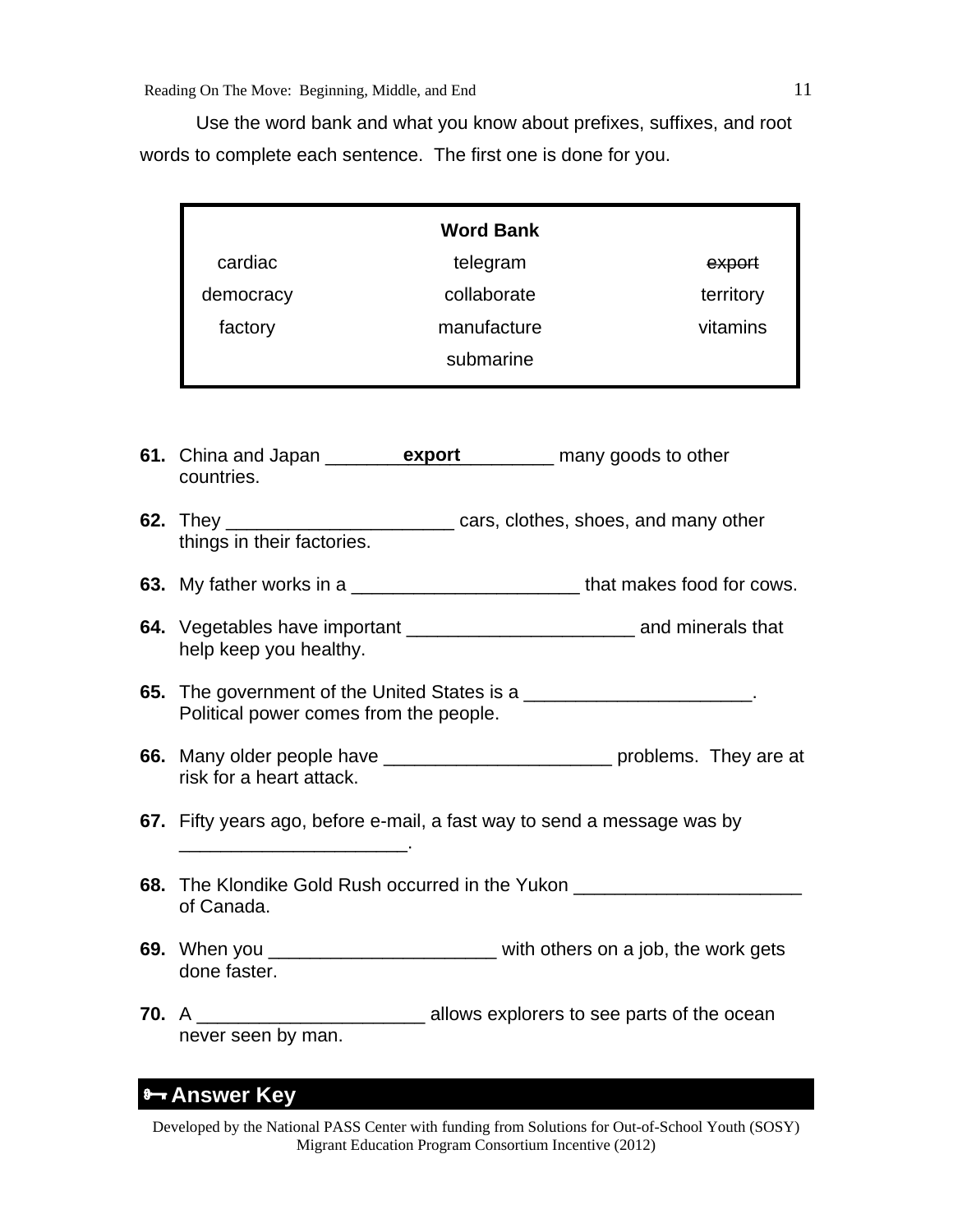Use the word bank and what you know about prefixes, suffixes, and root words to complete each sentence. The first one is done for you.

|           | <b>Word Bank</b>         |           |
|-----------|--------------------------|-----------|
| cardiac   | telegram                 | export    |
| democracy | collaborate              | territory |
| factory   | manufacture<br>submarine | vitamins  |

- **61.** China and Japan <u>export</u> export many goods to other countries.
- **62.** They \_\_\_\_\_\_\_\_\_\_\_\_\_\_\_\_\_\_\_\_\_\_ cars, clothes, shoes, and many other things in their factories.
- **63.** My father works in a \_\_\_\_\_\_\_\_\_\_\_\_\_\_\_\_\_\_\_\_\_\_\_\_\_\_\_\_\_\_\_\_that makes food for cows.
- **64.** Vegetables have important \_\_\_\_\_\_\_\_\_\_\_\_\_\_\_\_\_\_\_\_\_\_ and minerals that help keep you healthy.
- **65.** The government of the United States is a \_\_\_\_\_\_\_\_\_\_\_\_\_\_\_\_\_\_\_\_\_\_. Political power comes from the people.
- **66.** Many older people have \_\_\_\_\_\_\_\_\_\_\_\_\_\_\_\_\_\_\_\_\_\_ problems. They are at risk for a heart attack.
- **67.** Fifty years ago, before e-mail, a fast way to send a message was by

 $\mathcal{L}_\text{max}$  and  $\mathcal{L}_\text{max}$  and  $\mathcal{L}_\text{max}$  and  $\mathcal{L}_\text{max}$ 

- **68.** The Klondike Gold Rush occurred in the Yukon of Canada.
- **69.** When you \_\_\_\_\_\_\_\_\_\_\_\_\_\_\_\_\_\_\_\_\_\_ with others on a job, the work gets done faster.
- **70.** A \_\_\_\_\_\_\_\_\_\_\_\_\_\_\_\_\_\_\_\_\_\_ allows explorers to see parts of the ocean never seen by man.

## **Answer Key**

Developed by the National PASS Center with funding from Solutions for Out-of-School Youth (SOSY) Migrant Education Program Consortium Incentive (2012)